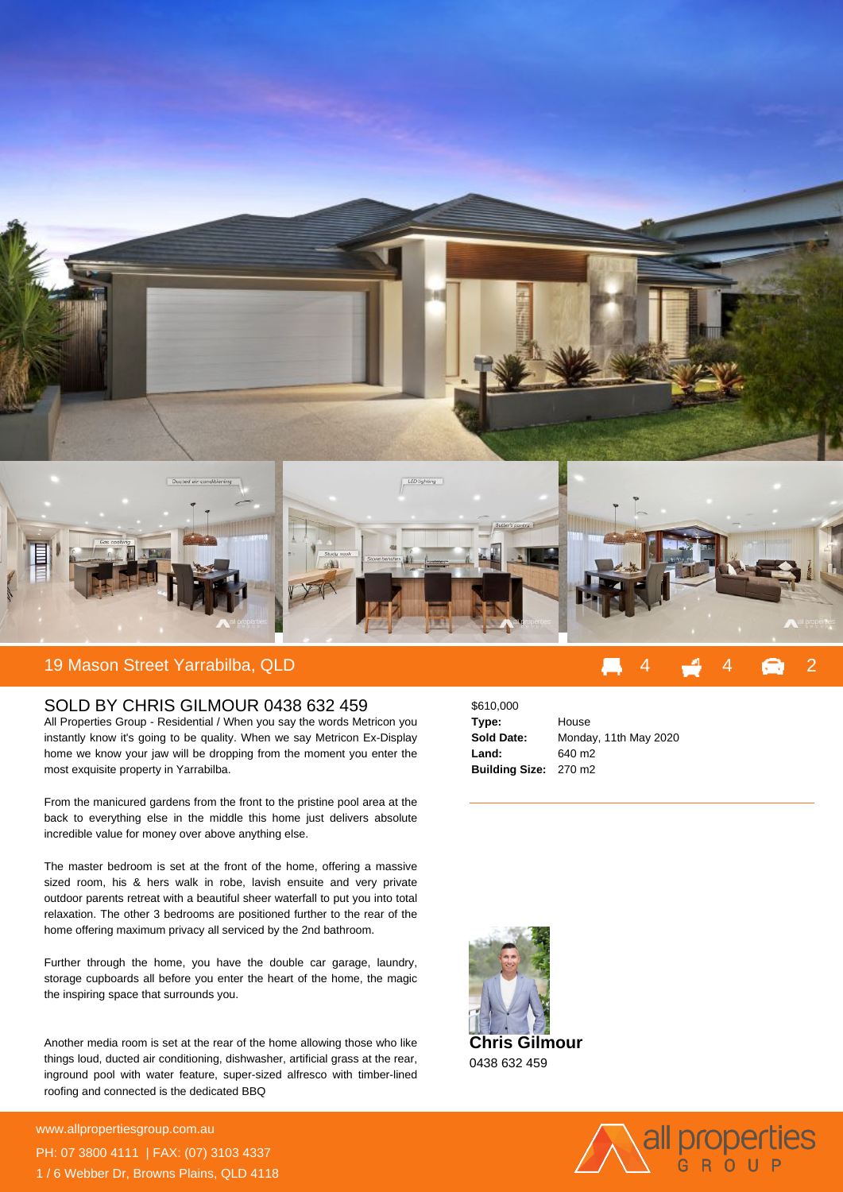

## SOLD BY CHRIS GILMOUR 0438 632 459

All Properties Group - Residential / When you say the words Metricon you instantly know it's going to be quality. When we say Metricon Ex-Display home we know your jaw will be dropping from the moment you enter the most exquisite property in Yarrabilba.

From the manicured gardens from the front to the pristine pool area at the back to everything else in the middle this home just delivers absolute incredible value for money over above anything else.

The master bedroom is set at the front of the home, offering a massive sized room, his & hers walk in robe, lavish ensuite and very private outdoor parents retreat with a beautiful sheer waterfall to put you into total relaxation. The other 3 bedrooms are positioned further to the rear of the home offering maximum privacy all serviced by the 2nd bathroom.

Further through the home, you have the double car garage, laundry, storage cupboards all before you enter the heart of the home, the magic the inspiring space that surrounds you.

Another media room is set at the rear of the home allowing those who like things loud, ducted air conditioning, dishwasher, artificial grass at the rear, inground pool with water feature, super-sized alfresco with timber-lined roofing and connected is the dedicated BBQ

**For more details please visit https://www.allpropertiesgroup.com.au/5547633** www.allpropertiesgroup.com.au PH: 07 3800 4111 | FAX: (07) 3103 4337 1 / 6 Webber Dr, Browns Plains, QLD 4118

| \$610,000                    |                       |
|------------------------------|-----------------------|
| Type:                        | House                 |
| <b>Sold Date:</b>            | Monday, 11th May 2020 |
| Land:                        | 640 m <sub>2</sub>    |
| <b>Building Size: 270 m2</b> |                       |



0438 632 459